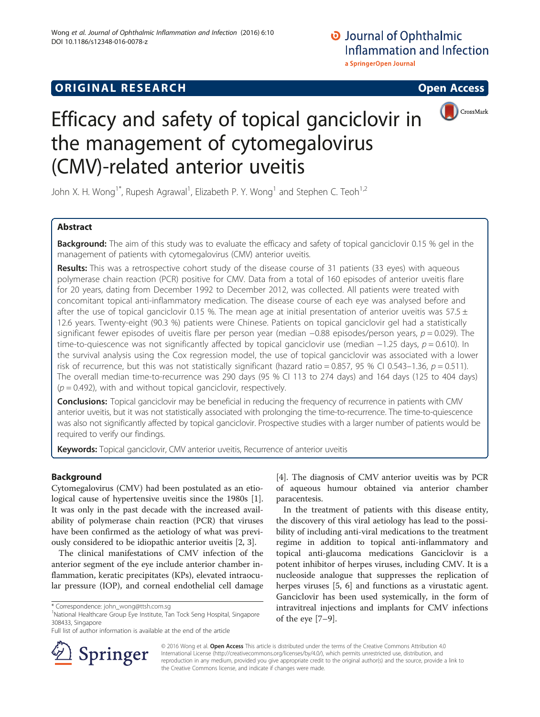## **ORIGINAL RESEARCH CONSUMING ACCESS**



# Efficacy and safety of topical ganciclovir in the management of cytomegalovirus (CMV)-related anterior uveitis

John X. H. Wong<sup>1\*</sup>, Rupesh Agrawal<sup>1</sup>, Elizabeth P. Y. Wong<sup>1</sup> and Stephen C. Teoh<sup>1,2</sup>

## Abstract

**Background:** The aim of this study was to evaluate the efficacy and safety of topical ganciclovir 0.15 % gel in the management of patients with cytomegalovirus (CMV) anterior uveitis.

Results: This was a retrospective cohort study of the disease course of 31 patients (33 eyes) with aqueous polymerase chain reaction (PCR) positive for CMV. Data from a total of 160 episodes of anterior uveitis flare for 20 years, dating from December 1992 to December 2012, was collected. All patients were treated with concomitant topical anti-inflammatory medication. The disease course of each eye was analysed before and after the use of topical ganciclovir 0.15 %. The mean age at initial presentation of anterior uveitis was  $57.5 \pm$ 12.6 years. Twenty-eight (90.3 %) patients were Chinese. Patients on topical ganciclovir gel had a statistically significant fewer episodes of uveitis flare per person year (median  $-0.88$  episodes/person years,  $p = 0.029$ ). The time-to-quiescence was not significantly affected by topical ganciclovir use (median  $-1.25$  days,  $p = 0.610$ ). In the survival analysis using the Cox regression model, the use of topical ganciclovir was associated with a lower risk of recurrence, but this was not statistically significant (hazard ratio = 0.857, 95 % CI 0.543–1.36,  $p = 0.511$ ). The overall median time-to-recurrence was 290 days (95 % CI 113 to 274 days) and 164 days (125 to 404 days)  $(p = 0.492)$ , with and without topical ganciclovir, respectively.

**Conclusions:** Topical ganciclovir may be beneficial in reducing the frequency of recurrence in patients with CMV anterior uveitis, but it was not statistically associated with prolonging the time-to-recurrence. The time-to-quiescence was also not significantly affected by topical ganciclovir. Prospective studies with a larger number of patients would be required to verify our findings.

Keywords: Topical ganciclovir, CMV anterior uveitis, Recurrence of anterior uveitis

### Background

Cytomegalovirus (CMV) had been postulated as an etiological cause of hypertensive uveitis since the 1980s [\[1](#page-3-0)]. It was only in the past decade with the increased availability of polymerase chain reaction (PCR) that viruses have been confirmed as the aetiology of what was previously considered to be idiopathic anterior uveitis [[2, 3\]](#page-3-0).

The clinical manifestations of CMV infection of the anterior segment of the eye include anterior chamber inflammation, keratic precipitates (KPs), elevated intraocular pressure (IOP), and corneal endothelial cell damage

[[4\]](#page-3-0). The diagnosis of CMV anterior uveitis was by PCR of aqueous humour obtained via anterior chamber paracentesis.

In the treatment of patients with this disease entity, the discovery of this viral aetiology has lead to the possibility of including anti-viral medications to the treatment regime in addition to topical anti-inflammatory and topical anti-glaucoma medications Ganciclovir is a potent inhibitor of herpes viruses, including CMV. It is a nucleoside analogue that suppresses the replication of herpes viruses [\[5, 6\]](#page-3-0) and functions as a virustatic agent. Ganciclovir has been used systemically, in the form of intravitreal injections and implants for CMV infections of the eye [[7](#page-3-0)–[9\]](#page-3-0).



© 2016 Wong et al. Open Access This article is distributed under the terms of the Creative Commons Attribution 4.0 International License ([http://creativecommons.org/licenses/by/4.0/\)](http://creativecommons.org/licenses/by/4.0/), which permits unrestricted use, distribution, and reproduction in any medium, provided you give appropriate credit to the original author(s) and the source, provide a link to the Creative Commons license, and indicate if changes were made.

<sup>\*</sup> Correspondence: [john\\_wong@ttsh.com.sg](mailto:john_wong@ttsh.com.sg) <sup>1</sup>

<sup>&</sup>lt;sup>1</sup>National Healthcare Group Eye Institute, Tan Tock Seng Hospital, Singapore 308433, Singapore

Full list of author information is available at the end of the article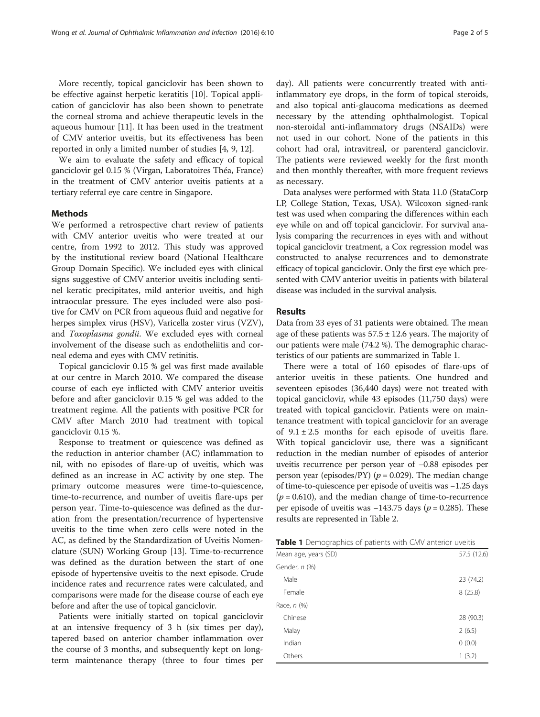More recently, topical ganciclovir has been shown to be effective against herpetic keratitis [\[10](#page-3-0)]. Topical application of ganciclovir has also been shown to penetrate the corneal stroma and achieve therapeutic levels in the aqueous humour [\[11\]](#page-3-0). It has been used in the treatment of CMV anterior uveitis, but its effectiveness has been reported in only a limited number of studies [\[4, 9, 12\]](#page-3-0).

We aim to evaluate the safety and efficacy of topical ganciclovir gel 0.15 % (Virgan, Laboratoires Théa, France) in the treatment of CMV anterior uveitis patients at a tertiary referral eye care centre in Singapore.

#### **Methods**

We performed a retrospective chart review of patients with CMV anterior uveitis who were treated at our centre, from 1992 to 2012. This study was approved by the institutional review board (National Healthcare Group Domain Specific). We included eyes with clinical signs suggestive of CMV anterior uveitis including sentinel keratic precipitates, mild anterior uveitis, and high intraocular pressure. The eyes included were also positive for CMV on PCR from aqueous fluid and negative for herpes simplex virus (HSV), Varicella zoster virus (VZV), and Toxoplasma gondii. We excluded eyes with corneal involvement of the disease such as endotheliitis and corneal edema and eyes with CMV retinitis.

Topical ganciclovir 0.15 % gel was first made available at our centre in March 2010. We compared the disease course of each eye inflicted with CMV anterior uveitis before and after ganciclovir 0.15 % gel was added to the treatment regime. All the patients with positive PCR for CMV after March 2010 had treatment with topical ganciclovir 0.15 %.

Response to treatment or quiescence was defined as the reduction in anterior chamber (AC) inflammation to nil, with no episodes of flare-up of uveitis, which was defined as an increase in AC activity by one step. The primary outcome measures were time-to-quiescence, time-to-recurrence, and number of uveitis flare-ups per person year. Time-to-quiescence was defined as the duration from the presentation/recurrence of hypertensive uveitis to the time when zero cells were noted in the AC, as defined by the Standardization of Uveitis Nomenclature (SUN) Working Group [[13\]](#page-3-0). Time-to-recurrence was defined as the duration between the start of one episode of hypertensive uveitis to the next episode. Crude incidence rates and recurrence rates were calculated, and comparisons were made for the disease course of each eye before and after the use of topical ganciclovir.

Patients were initially started on topical ganciclovir at an intensive frequency of 3 h (six times per day), tapered based on anterior chamber inflammation over the course of 3 months, and subsequently kept on longterm maintenance therapy (three to four times per day). All patients were concurrently treated with antiinflammatory eye drops, in the form of topical steroids, and also topical anti-glaucoma medications as deemed necessary by the attending ophthalmologist. Topical non-steroidal anti-inflammatory drugs (NSAIDs) were not used in our cohort. None of the patients in this cohort had oral, intravitreal, or parenteral ganciclovir. The patients were reviewed weekly for the first month and then monthly thereafter, with more frequent reviews as necessary.

Data analyses were performed with Stata 11.0 (StataCorp LP, College Station, Texas, USA). Wilcoxon signed-rank test was used when comparing the differences within each eye while on and off topical ganciclovir. For survival analysis comparing the recurrences in eyes with and without topical ganciclovir treatment, a Cox regression model was constructed to analyse recurrences and to demonstrate efficacy of topical ganciclovir. Only the first eye which presented with CMV anterior uveitis in patients with bilateral disease was included in the survival analysis.

#### Results

Data from 33 eyes of 31 patients were obtained. The mean age of these patients was  $57.5 \pm 12.6$  years. The majority of our patients were male (74.2 %). The demographic characteristics of our patients are summarized in Table 1.

There were a total of 160 episodes of flare-ups of anterior uveitis in these patients. One hundred and seventeen episodes (36,440 days) were not treated with topical ganciclovir, while 43 episodes (11,750 days) were treated with topical ganciclovir. Patients were on maintenance treatment with topical ganciclovir for an average of  $9.1 \pm 2.5$  months for each episode of uveitis flare. With topical ganciclovir use, there was a significant reduction in the median number of episodes of anterior uveitis recurrence per person year of −0.88 episodes per person year (episodes/PY) ( $p = 0.029$ ). The median change of time-to-quiescence per episode of uveitis was −1.25 days  $(p = 0.610)$ , and the median change of time-to-recurrence per episode of uveitis was  $-143.75$  days ( $p = 0.285$ ). These results are represented in Table [2](#page-2-0).

|  |  |  |  | Table 1 Demographics of patients with CMV anterior uveitis |
|--|--|--|--|------------------------------------------------------------|
|--|--|--|--|------------------------------------------------------------|

| Mean age, years (SD) | 57.5 (12.6) |
|----------------------|-------------|
| Gender, n (%)        |             |
| Male                 | 23 (74.2)   |
| Female               | 8(25.8)     |
| Race, $n$ $(\%)$     |             |
| Chinese              | 28 (90.3)   |
| Malay                | 2(6.5)      |
| Indian               | 0(0.0)      |
| Others               | 1(3.2)      |
|                      |             |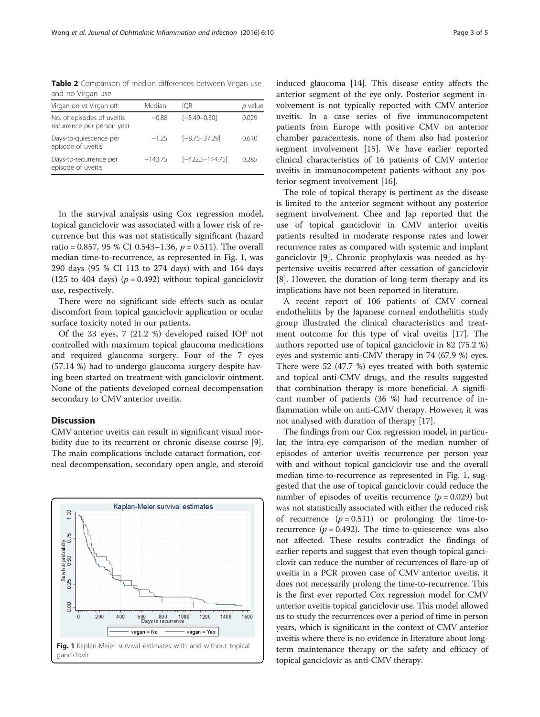<span id="page-2-0"></span>Table 2 Comparison of median differences between Virgan use and no Virgan use

| Virgan on vs Virgan off:                                 | Median    | IOR                 | p value |
|----------------------------------------------------------|-----------|---------------------|---------|
| No. of episodes of uveitis<br>recurrence per person year | $-0.88$   | $[-5.49 - 0.30]$    | 0.029   |
| Days-to-quiescence per<br>episode of uveitis             | $-1.25$   | $[-8.75 - 37.29]$   | 0.610   |
| Days-to-recurrence per<br>episode of uveitis             | $-143.75$ | $[-422.5 - 144.75]$ | 0.285   |

In the survival analysis using Cox regression model, topical ganciclovir was associated with a lower risk of recurrence but this was not statistically significant (hazard ratio = 0.857, 95 % CI 0.543–1.36,  $p = 0.511$ ). The overall median time-to-recurrence, as represented in Fig. 1, was 290 days (95 % CI 113 to 274 days) with and 164 days (125 to 404 days) ( $p = 0.492$ ) without topical ganciclovir use, respectively.

There were no significant side effects such as ocular discomfort from topical ganciclovir application or ocular surface toxicity noted in our patients.

Of the 33 eyes, 7 (21.2 %) developed raised IOP not controlled with maximum topical glaucoma medications and required glaucoma surgery. Four of the 7 eyes (57.14 %) had to undergo glaucoma surgery despite having been started on treatment with ganciclovir ointment. None of the patients developed corneal decompensation secondary to CMV anterior uveitis.

#### **Discussion**

CMV anterior uveitis can result in significant visual morbidity due to its recurrent or chronic disease course [\[9](#page-3-0)]. The main complications include cataract formation, corneal decompensation, secondary open angle, and steroid



induced glaucoma [[14](#page-3-0)]. This disease entity affects the anterior segment of the eye only. Posterior segment involvement is not typically reported with CMV anterior uveitis. In a case series of five immunocompetent patients from Europe with positive CMV on anterior chamber paracentesis, none of them also had posterior segment involvement [[15\]](#page-4-0). We have earlier reported clinical characteristics of 16 patients of CMV anterior uveitis in immunocompetent patients without any posterior segment involvement [[16](#page-4-0)].

The role of topical therapy is pertinent as the disease is limited to the anterior segment without any posterior segment involvement. Chee and Jap reported that the use of topical ganciclovir in CMV anterior uveitis patients resulted in moderate response rates and lower recurrence rates as compared with systemic and implant ganciclovir [\[9](#page-3-0)]. Chronic prophylaxis was needed as hypertensive uveitis recurred after cessation of ganciclovir [[8\]](#page-3-0). However, the duration of long-term therapy and its implications have not been reported in literature.

A recent report of 106 patients of CMV corneal endotheliitis by the Japanese corneal endotheliitis study group illustrated the clinical characteristics and treatment outcome for this type of viral uveitis [\[17\]](#page-4-0). The authors reported use of topical ganciclovir in 82 (75.2 %) eyes and systemic anti-CMV therapy in 74 (67.9 %) eyes. There were 52 (47.7 %) eyes treated with both systemic and topical anti-CMV drugs, and the results suggested that combination therapy is more beneficial. A significant number of patients (36 %) had recurrence of inflammation while on anti-CMV therapy. However, it was not analysed with duration of therapy [\[17\]](#page-4-0).

The findings from our Cox regression model, in particular, the intra-eye comparison of the median number of episodes of anterior uveitis recurrence per person year with and without topical ganciclovir use and the overall median time-to-recurrence as represented in Fig. 1, suggested that the use of topical ganciclovir could reduce the number of episodes of uveitis recurrence ( $p = 0.029$ ) but was not statistically associated with either the reduced risk of recurrence  $(p = 0.511)$  or prolonging the time-torecurrence  $(p = 0.492)$ . The time-to-quiescence was also not affected. These results contradict the findings of earlier reports and suggest that even though topical ganciclovir can reduce the number of recurrences of flare-up of uveitis in a PCR proven case of CMV anterior uveitis, it does not necessarily prolong the time-to-recurrence. This is the first ever reported Cox regression model for CMV anterior uveitis topical ganciclovir use. This model allowed us to study the recurrences over a period of time in person years, which is significant in the context of CMV anterior uveitis where there is no evidence in literature about longterm maintenance therapy or the safety and efficacy of topical ganciclovir as anti-CMV therapy.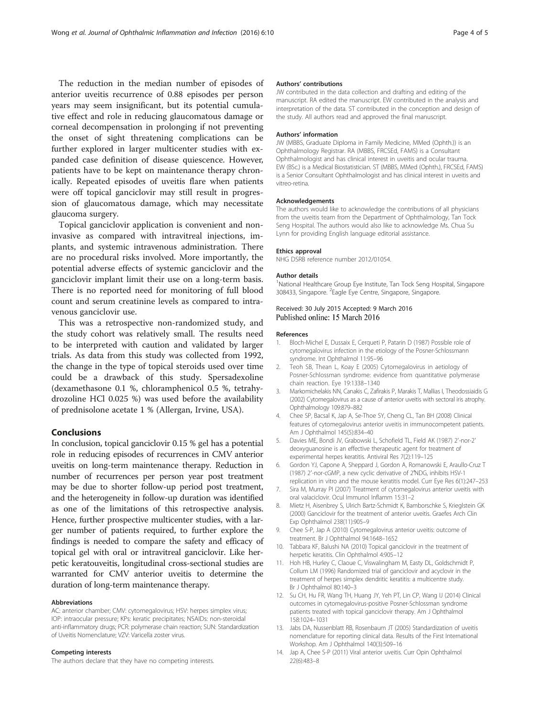<span id="page-3-0"></span>The reduction in the median number of episodes of anterior uveitis recurrence of 0.88 episodes per person years may seem insignificant, but its potential cumulative effect and role in reducing glaucomatous damage or corneal decompensation in prolonging if not preventing the onset of sight threatening complications can be further explored in larger multicenter studies with expanded case definition of disease quiescence. However, patients have to be kept on maintenance therapy chronically. Repeated episodes of uveitis flare when patients were off topical ganciclovir may still result in progression of glaucomatous damage, which may necessitate glaucoma surgery.

Topical ganciclovir application is convenient and noninvasive as compared with intravitreal injections, implants, and systemic intravenous administration. There are no procedural risks involved. More importantly, the potential adverse effects of systemic ganciclovir and the ganciclovir implant limit their use on a long-term basis. There is no reported need for monitoring of full blood count and serum creatinine levels as compared to intravenous ganciclovir use.

This was a retrospective non-randomized study, and the study cohort was relatively small. The results need to be interpreted with caution and validated by larger trials. As data from this study was collected from 1992, the change in the type of topical steroids used over time could be a drawback of this study. Spersadexoline (dexamethasone 0.1 %, chloramphenicol 0.5 %, tetrahydrozoline HCl 0.025 %) was used before the availability of prednisolone acetate 1 % (Allergan, Irvine, USA).

#### Conclusions

In conclusion, topical ganciclovir 0.15 % gel has a potential role in reducing episodes of recurrences in CMV anterior uveitis on long-term maintenance therapy. Reduction in number of recurrences per person year post treatment may be due to shorter follow-up period post treatment, and the heterogeneity in follow-up duration was identified as one of the limitations of this retrospective analysis. Hence, further prospective multicenter studies, with a larger number of patients required, to further explore the findings is needed to compare the safety and efficacy of topical gel with oral or intravitreal ganciclovir. Like herpetic keratouveitis, longitudinal cross-sectional studies are warranted for CMV anterior uveitis to determine the duration of long-term maintenance therapy.

#### Abbreviations

AC: anterior chamber; CMV: cytomegalovirus; HSV: herpes simplex virus; IOP: intraocular pressure; KPs: keratic precipitates; NSAIDs: non-steroidal anti-inflammatory drugs; PCR: polymerase chain reaction; SUN: Standardization of Uveitis Nomenclature; VZV: Varicella zoster virus.

#### Competing interests

The authors declare that they have no competing interests.

#### Authors' contributions

JW contributed in the data collection and drafting and editing of the manuscript. RA edited the manuscript. EW contributed in the analysis and interpretation of the data. ST contributed in the conception and design of the study. All authors read and approved the final manuscript.

#### Authors' information

JW (MBBS, Graduate Diploma in Family Medicine, MMed (Ophth.)) is an Ophthalmology Registrar. RA (MBBS, FRCSEd, FAMS) is a Consultant Ophthalmologist and has clinical interest in uveitis and ocular trauma. EW (BSc.) is a Medical Biostatistician. ST (MBBS, MMed (Ophth.), FRCSEd, FAMS) is a Senior Consultant Ophthalmologist and has clinical interest in uveitis and vitreo-retina.

#### Acknowledgements

The authors would like to acknowledge the contributions of all physicians from the uveitis team from the Department of Ophthalmology, Tan Tock Seng Hospital. The authors would also like to acknowledge Ms. Chua Su Lynn for providing English language editorial assistance.

#### Ethics approval

NHG DSRB reference number 2012/01054.

#### Author details

<sup>1</sup>National Healthcare Group Eye Institute, Tan Tock Seng Hospital, Singapore 308433, Singapore. <sup>2</sup> Eagle Eye Centre, Singapore, Singapore.

#### Received: 30 July 2015 Accepted: 9 March 2016 Published online: 15 March 2016

#### References

- 1. Bloch-Michel E, Dussaix E, Cerqueti P, Patarin D (1987) Possible role of cytomegalovirus infection in the etiology of the Posner-Schlossmann syndrome. Int Ophthalmol 11:95–96
- 2. Teoh SB, Thean L, Koay E (2005) Cytomegalovirus in aetiology of Posner-Schlossman syndrome: evidence from quantitative polymerase chain reaction. Eye 19:1338–1340
- 3. Markomichelakis NN, Canakis C, Zafirakis P, Marakis T, Mallias I, Theodossiaidis G (2002) Cytomegalovirus as a cause of anterior uveitis with sectoral iris atrophy. Ophthalmology 109:879–882
- 4. Chee SP, Bacsal K, Jap A, Se-Thoe SY, Cheng CL, Tan BH (2008) Clinical features of cytomegalovirus anterior uveitis in immunocompetent patients. Am J Ophthalmol 145(5):834–40
- 5. Davies ME, Bondi JV, Grabowski L, Schofield TL, Field AK (1987) 2′-nor-2′ deoxyguanosine is an effective therapeutic agent for treatment of experimental herpes keratitis. Antiviral Res 7(2):119–125
- 6. Gordon YJ, Capone A, Sheppard J, Gordon A, Romanowski E, Araullo-Cruz T (1987) 2′-nor-cGMP, a new cyclic derivative of 2′NDG, inhibits HSV-1 replication in vitro and the mouse keratitis model. Curr Eye Res 6(1):247–253
- 7. Sira M, Murray PI (2007) Treatment of cytomegalovirus anterior uveitis with oral valaciclovir. Ocul Immunol Inflamm 15:31–2
- 8. Mietz H, Aisenbrey S, Ulrich Bartz-Schmidt K, Bamborschke S, Krieglstein GK (2000) Ganciclovir for the treatment of anterior uveitis. Graefes Arch Clin Exp Ophthalmol 238(11):905–9
- 9. Chee S-P, Jap A (2010) Cytomegalovirus anterior uveitis: outcome of treatment. Br J Ophthalmol 94:1648–1652
- 10. Tabbara KF, Balushi NA (2010) Topical ganciclovir in the treatment of herpetic keratitis. Clin Ophthalmol 4:905–12
- 11. Hoh HB, Hurley C, Claoue C, Viswalingham M, Easty DL, Goldschmidt P, Collum LM (1996) Randomized trial of ganciclovir and acyclovir in the treatment of herpes simplex dendritic keratitis: a multicentre study. Br J Ophthalmol 80:140–3
- 12. Su CH, Hu FR, Wang TH, Huang JY, Yeh PT, Lin CP, Wang IJ (2014) Clinical outcomes in cytomegalovirus-positive Posner-Schlossman syndrome patients treated with topical ganciclovir therapy. Am J Ophthalmol 158:1024–1031
- 13. Jabs DA, Nussenblatt RB, Rosenbaum JT (2005) Standardization of uveitis nomenclature for reporting clinical data. Results of the First International Workshop. Am J Ophthalmol 140(3):509–16
- 14. Jap A, Chee S-P (2011) Viral anterior uveitis. Curr Opin Ophthalmol 22(6):483–8